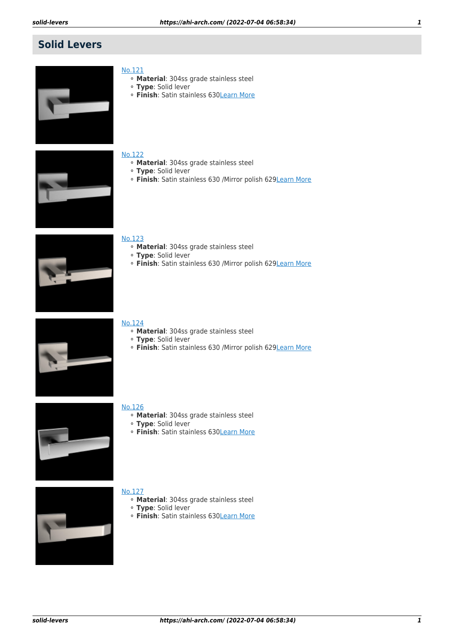# **Solid Levers**



- [No.121](https://ahi-arch.com/index.php/no121.html)
	- ⚬ **Material**: 304ss grade stainless steel
	- ⚬ **Type**: Solid lever
	- ⚬ **Finish**: Satin stainless 630[Learn More](https://ahi-arch.com/index.php/no121.html)



#### [No.122](https://ahi-arch.com/index.php/no122.html)

- ⚬ **Material**: 304ss grade stainless steel
- ⚬ **Type**: Solid lever
- ⚬ **Finish**: Satin stainless 630 /Mirror polish 629[Learn More](https://ahi-arch.com/index.php/no122.html)



#### [No.123](https://ahi-arch.com/index.php/no123.html)

- ⚬ **Material**: 304ss grade stainless steel
- ⚬ **Type**: Solid lever
- ⚬ **Finish**: Satin stainless 630 /Mirror polish 629[Learn More](https://ahi-arch.com/index.php/no123.html)



## [No.124](https://ahi-arch.com/index.php/no124.html)

- ⚬ **Material**: 304ss grade stainless steel
- ⚬ **Type**: Solid lever
- ⚬ **Finish**: Satin stainless 630 /Mirror polish 629[Learn More](https://ahi-arch.com/index.php/no124.html)



#### [No.126](https://ahi-arch.com/index.php/no126.html)

- ⚬ **Material**: 304ss grade stainless steel
- ⚬ **Type**: Solid lever
- ⚬ **Finish**: Satin stainless 630[Learn More](https://ahi-arch.com/index.php/no126.html)



- ⚬ **Material**: 304ss grade stainless steel
- ⚬ **Type**: Solid lever
- ⚬ **Finish**: Satin stainless 630[Learn More](https://ahi-arch.com/index.php/no127.html)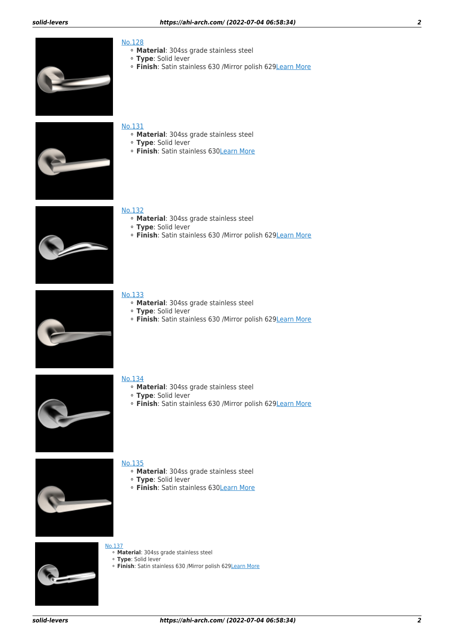

### [No.128](https://ahi-arch.com/index.php/no128.html)

- ⚬ **Material**: 304ss grade stainless steel
- ⚬ **Type**: Solid lever
- ⚬ **Finish**: Satin stainless 630 /Mirror polish 62[9Learn More](https://ahi-arch.com/index.php/no128.html)



#### [No.131](https://ahi-arch.com/index.php/no131.html)

- ⚬ **Material**: 304ss grade stainless steel
- ⚬ **Type**: Solid lever
- ⚬ **Finish**: Satin stainless 630[Learn More](https://ahi-arch.com/index.php/no131.html)



#### [No.132](https://ahi-arch.com/index.php/no132.html)

- ⚬ **Material**: 304ss grade stainless steel
- ⚬ **Type**: Solid lever
- ⚬ **Finish**: Satin stainless 630 /Mirror polish 629[Learn More](https://ahi-arch.com/index.php/no132.html)



#### [No.133](https://ahi-arch.com/index.php/no133.html)

- ⚬ **Material**: 304ss grade stainless steel
- ⚬ **Type**: Solid lever
- ⚬ **Finish**: Satin stainless 630 /Mirror polish 629[Learn More](https://ahi-arch.com/index.php/no133.html)



#### [No.134](https://ahi-arch.com/index.php/no134.html)

- ⚬ **Material**: 304ss grade stainless steel
- ⚬ **Type**: Solid lever
- ⚬ **Finish**: Satin stainless 630 /Mirror polish 629[Learn More](https://ahi-arch.com/index.php/no134.html)



- ⚬ **Material**: 304ss grade stainless steel
- ⚬ **Type**: Solid lever
- ⚬ **Finish**: Satin stainless 630[Learn More](https://ahi-arch.com/index.php/no135.html)



- [No.137](https://ahi-arch.com/index.php/no137.html)
	- ⚬ **Material**: 304ss grade stainless steel
	- ⚬ **Type**: Solid lever
	- ⚬ **Finish**: Satin stainless 630 /Mirror polish 62[9Learn More](https://ahi-arch.com/index.php/no137.html)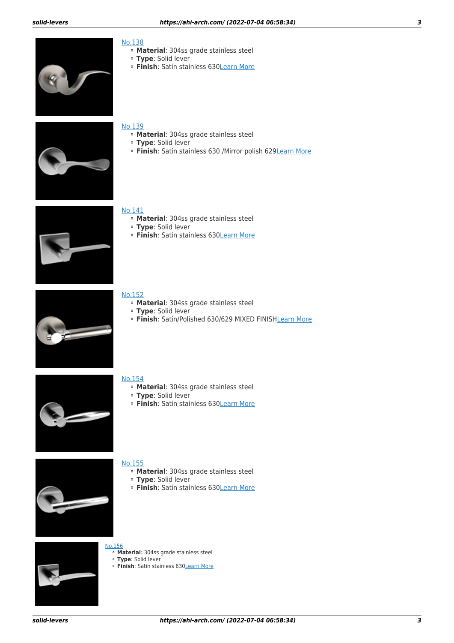

### [No.138](https://ahi-arch.com/index.php/no138.html)

- ⚬ **Material**: 304ss grade stainless steel
- ⚬ **Type**: Solid lever
- ⚬ **Finish**: Satin stainless 63[0Learn More](https://ahi-arch.com/index.php/no138.html)



#### [No.139](https://ahi-arch.com/index.php/no139.html)

- ⚬ **Material**: 304ss grade stainless steel
- ⚬ **Type**: Solid lever
- ⚬ **Finish**: Satin stainless 630 /Mirror polish 629[Learn More](https://ahi-arch.com/index.php/no139.html)



#### [No.141](https://ahi-arch.com/index.php/no141.html)

- ⚬ **Material**: 304ss grade stainless steel
- ⚬ **Type**: Solid lever
- ⚬ **Finish**: Satin stainless 630[Learn More](https://ahi-arch.com/index.php/no141.html)



#### [No.152](https://ahi-arch.com/index.php/no152.html)

- ⚬ **Material**: 304ss grade stainless steel
- ⚬ **Type**: Solid lever
- ⚬ **Finish**: Satin/Polished 630/629 MIXED FINIS[HLearn More](https://ahi-arch.com/index.php/no152.html)



#### [No.154](https://ahi-arch.com/index.php/no154.html)

- ⚬ **Material**: 304ss grade stainless steel
- ⚬ **Type**: Solid lever
- ⚬ **Finish**: Satin stainless 630[Learn More](https://ahi-arch.com/index.php/no154.html)



- ⚬ **Material**: 304ss grade stainless steel
- ⚬ **Type**: Solid lever
- ⚬ **Finish**: Satin stainless 630[Learn More](https://ahi-arch.com/index.php/no155.html)



- [No.156](https://ahi-arch.com/index.php/no156.html)
	- ⚬ **Material**: 304ss grade stainless steel
	- ⚬ **Type**: Solid lever
	- ⚬ **Finish**: Satin stainless 630[Learn More](https://ahi-arch.com/index.php/no156.html)